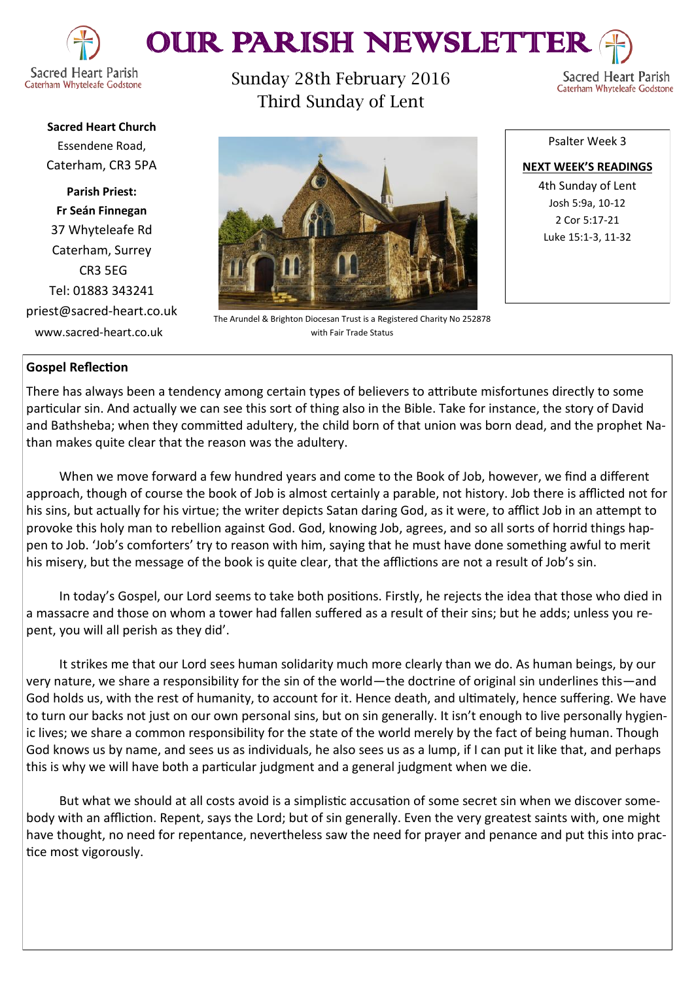

## OUR PARISH NEWSLETTE

**Sacred Heart Church** Essendene Road, Caterham, CR3 5PA

**Parish Priest: Fr Seán Finnegan** 37 Whyteleafe Rd Caterham, Surrey CR3 5EG Tel: 01883 343241 priest@sacred-heart.co.uk www.sacred-heart.co.uk

Sunday 28th February 2016 Third Sunday of Lent



4th Sunday of Lent Josh 5:9a, 10-12 2 Cor 5:17-21 Luke 15:1-3, 11-32

Sacred Heart Parish

Caterham Whyteleafe Godstone

## **Gospel Reflection**

There has always been a tendency among certain types of believers to attribute misfortunes directly to some particular sin. And actually we can see this sort of thing also in the Bible. Take for instance, the story of David and Bathsheba; when they committed adultery, the child born of that union was born dead, and the prophet Nathan makes quite clear that the reason was the adultery.

The Arundel & Brighton Diocesan Trust is a Registered Charity No 252878 with Fair Trade Status

When we move forward a few hundred years and come to the Book of Job, however, we find a different approach, though of course the book of Job is almost certainly a parable, not history. Job there is afflicted not for his sins, but actually for his virtue; the writer depicts Satan daring God, as it were, to afflict Job in an attempt to provoke this holy man to rebellion against God. God, knowing Job, agrees, and so all sorts of horrid things happen to Job. 'Job's comforters' try to reason with him, saying that he must have done something awful to merit his misery, but the message of the book is quite clear, that the afflictions are not a result of Job's sin.

In today's Gospel, our Lord seems to take both positions. Firstly, he rejects the idea that those who died in a massacre and those on whom a tower had fallen suffered as a result of their sins; but he adds; unless you repent, you will all perish as they did'.

It strikes me that our Lord sees human solidarity much more clearly than we do. As human beings, by our very nature, we share a responsibility for the sin of the world—the doctrine of original sin underlines this—and God holds us, with the rest of humanity, to account for it. Hence death, and ultimately, hence suffering. We have to turn our backs not just on our own personal sins, but on sin generally. It isn't enough to live personally hygienic lives; we share a common responsibility for the state of the world merely by the fact of being human. Though God knows us by name, and sees us as individuals, he also sees us as a lump, if I can put it like that, and perhaps this is why we will have both a particular judgment and a general judgment when we die.

But what we should at all costs avoid is a simplistic accusation of some secret sin when we discover somebody with an affliction. Repent, says the Lord; but of sin generally. Even the very greatest saints with, one might have thought, no need for repentance, nevertheless saw the need for prayer and penance and put this into practice most vigorously.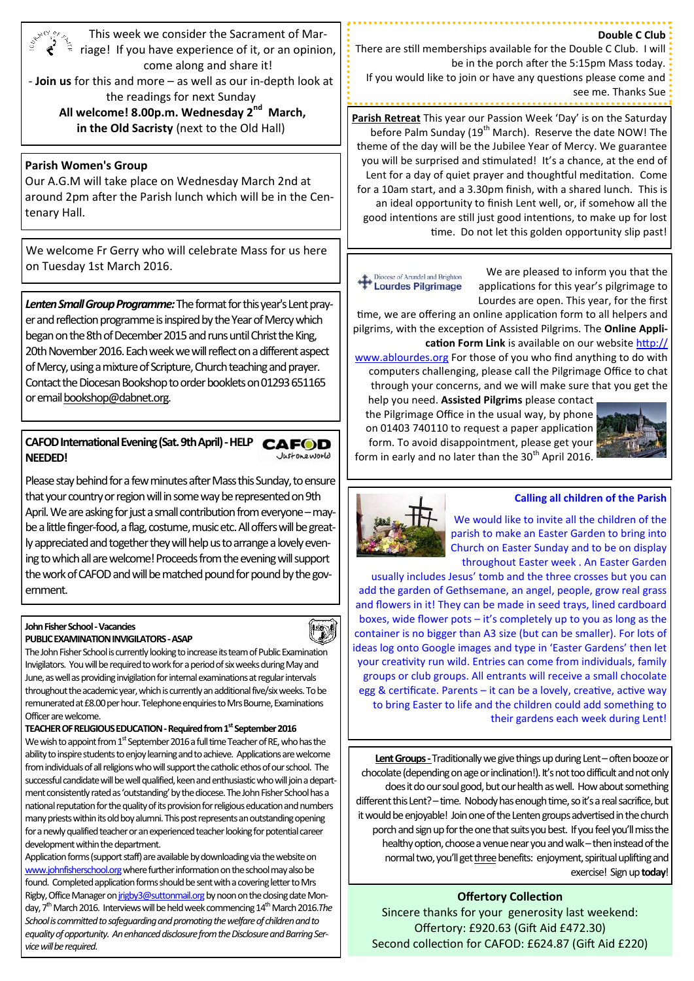| This week we consider the Sacrament of Mar-<br><b>SUNEY OF THE</b><br>riage! If you have experience of it, or an opinion,<br>come along and share it!<br>- Join us for this and more - as well as our in-depth look at<br>the readings for next Sunday                                                                                                                                                                                                                                                                                                                                                                                                                                                                                                                          | Double C Club<br>There are still memberships available for the Double C Club. I will<br>be in the porch after the 5:15pm Mass today.<br>If you would like to join or have any questions please come and<br>see me. Thanks Sue                                                                                                                                                                                                                                                                                                                                                                                                                            |
|---------------------------------------------------------------------------------------------------------------------------------------------------------------------------------------------------------------------------------------------------------------------------------------------------------------------------------------------------------------------------------------------------------------------------------------------------------------------------------------------------------------------------------------------------------------------------------------------------------------------------------------------------------------------------------------------------------------------------------------------------------------------------------|----------------------------------------------------------------------------------------------------------------------------------------------------------------------------------------------------------------------------------------------------------------------------------------------------------------------------------------------------------------------------------------------------------------------------------------------------------------------------------------------------------------------------------------------------------------------------------------------------------------------------------------------------------|
| All welcome! 8.00p.m. Wednesday 2 <sup>nd</sup> March,<br>in the Old Sacristy (next to the Old Hall)                                                                                                                                                                                                                                                                                                                                                                                                                                                                                                                                                                                                                                                                            | Parish Retreat This year our Passion Week 'Day' is on the Saturday<br>before Palm Sunday (19 <sup>th</sup> March). Reserve the date NOW! The<br>theme of the day will be the Jubilee Year of Mercy. We guarantee                                                                                                                                                                                                                                                                                                                                                                                                                                         |
| <b>Parish Women's Group</b><br>Our A.G.M will take place on Wednesday March 2nd at<br>around 2pm after the Parish lunch which will be in the Cen-<br>tenary Hall.                                                                                                                                                                                                                                                                                                                                                                                                                                                                                                                                                                                                               | you will be surprised and stimulated! It's a chance, at the end of<br>Lent for a day of quiet prayer and thoughtful meditation. Come<br>for a 10am start, and a 3.30pm finish, with a shared lunch. This is<br>an ideal opportunity to finish Lent well, or, if somehow all the<br>good intentions are still just good intentions, to make up for lost<br>time. Do not let this golden opportunity slip past!                                                                                                                                                                                                                                            |
| We welcome Fr Gerry who will celebrate Mass for us here<br>on Tuesday 1st March 2016.                                                                                                                                                                                                                                                                                                                                                                                                                                                                                                                                                                                                                                                                                           | We are pleased to inform you that the<br>Diocese of Arundel and Brighton                                                                                                                                                                                                                                                                                                                                                                                                                                                                                                                                                                                 |
| Lenten Small Group Programme: The format for this year's Lent pray-<br>er and reflection programme is inspired by the Year of Mercy which<br>began on the 8th of December 2015 and runs until Christ the King,<br>20th November 2016. Each week we will reflect on a different aspect<br>of Mercy, using a mixture of Scripture, Church teaching and prayer.<br>Contact the Diocesan Bookshop to order booklets on 01293 651165<br>or email bookshop@dabnet.org.                                                                                                                                                                                                                                                                                                                | <b>Lourdes Pilgrimage</b><br>applications for this year's pilgrimage to<br>Lourdes are open. This year, for the first<br>time, we are offering an online application form to all helpers and<br>pilgrims, with the exception of Assisted Pilgrims. The Online Appli-<br>cation Form Link is available on our website http://<br>www.ablourdes.org For those of you who find anything to do with<br>computers challenging, please call the Pilgrimage Office to chat<br>through your concerns, and we will make sure that you get the<br>help you need. Assisted Pilgrims please contact<br>the Pilgrimage Office in the usual way, by phone              |
| CAFOD International Evening (Sat. 9th April) - HELP<br><b>CAFOD</b><br>Justoneworld<br><b>NEEDED!</b>                                                                                                                                                                                                                                                                                                                                                                                                                                                                                                                                                                                                                                                                           | on 01403 740110 to request a paper application<br>form. To avoid disappointment, please get your<br>form in early and no later than the 30 <sup>th</sup> April 2016.                                                                                                                                                                                                                                                                                                                                                                                                                                                                                     |
| Please stay behind for a few minutes after Mass this Sunday, to ensure<br>that your country or region will in some way be represented on 9th<br>April. We are asking for just a small contribution from everyone - may-<br>be a little finger-food, a flag, costume, music etc. All offers will be great-<br>ly appreciated and together they will help us to arrange a lovely even-<br>ing to which all are welcome! Proceeds from the evening will support<br>the work of CAFOD and will be matched pound for pound by the gov-<br>ernment.                                                                                                                                                                                                                                   | <b>Calling all children of the Parish</b><br>We would like to invite all the children of the<br>parish to make an Easter Garden to bring into<br>Church on Easter Sunday and to be on display<br>throughout Easter week. An Easter Garden<br>usually includes Jesus' tomb and the three crosses but you can<br>add the garden of Gethsemane, an angel, people, grow real grass<br>and flowers in it! They can be made in seed trays, lined cardboard                                                                                                                                                                                                     |
| John Fisher School - Vacancies<br>H<br><b>PUBLIC EXAMINATION INVIGILATORS - ASAP</b><br>The John Fisher School is currently looking to increase its team of Public Examination<br>Invigilators. You will be required to work for a period of six weeks during May and<br>June, as well as providing invigilation for internal examinations at regular intervals<br>throughout the academic year, which is currently an additional five/six weeks. To be<br>remunerated at £8.00 per hour. Telephone enquiries to Mrs Bourne, Examinations<br>Officer are welcome.<br>TEACHER OF RELIGIOUS EDUCATION - Required from 1 <sup>st</sup> September 2016<br>We wish to appoint from $1^{\text{st}}$ September 2016 a full time Teacher of RE, who has the                             | boxes, wide flower pots - it's completely up to you as long as the<br>container is no bigger than A3 size (but can be smaller). For lots of<br>ideas log onto Google images and type in 'Easter Gardens' then let<br>your creativity run wild. Entries can come from individuals, family<br>groups or club groups. All entrants will receive a small chocolate<br>egg & certificate. Parents - it can be a lovely, creative, active way<br>to bring Easter to life and the children could add something to<br>their gardens each week during Lent!                                                                                                       |
| ability to inspire students to enjoy learning and to achieve. Applications are welcome<br>from individuals of all religions who will support the catholic ethos of our school. The<br>successful candidate will be well qualified, keen and enthusiastic who will join a depart-<br>ment consistently rated as 'outstanding' by the diocese. The John Fisher School has a<br>national reputation for the quality of its provision for religious education and numbers<br>many priests within its old boy alumni. This post represents an outstanding opening<br>for a newly qualified teacher or an experienced teacher looking for potential career<br>development within the department.<br>Application forms (support staff) are available by downloading via the website on | Lent Groups - Traditionally we give things up during Lent - often booze or<br>chocolate (depending on age or inclination!). It's not too difficult and not only<br>does it do our soul good, but our health as well. How about something<br>different this Lent? - time. Nobody has enough time, so it's a real sacrifice, but<br>it would be enjoyable! Join one of the Lenten groups advertised in the church<br>porch and sign up for the one that suits you best. If you feel you'll miss the<br>healthy option, choose a venue near you and walk - then instead of the<br>normal two, you'll get three benefits: enjoyment, spiritual uplifting and |

Application forms (support staff) are available by downloading via the website on www.johnfisherschool.org where further information on the school may also be found. Completed application forms should be sent with a covering letter to Mrs Rigby, Office Manager on *jrigby3@suttonmail.org* by noon on the closing date Monday, 7<sup>th</sup> March 2016. Interviews will be held week commencing 14<sup>th</sup> March 2016.*The School is committed to safeguarding and promoting the welfare of children and to equality of opportunity. An enhanced disclosure from the Disclosure and Barring Service will be required.*

## **Offertory Collection**

exercise! Sign up **today**!

Sincere thanks for your generosity last weekend: Offertory: £920.63 (Gift Aid £472.30) Second collection for CAFOD: £624.87 (Gift Aid £220)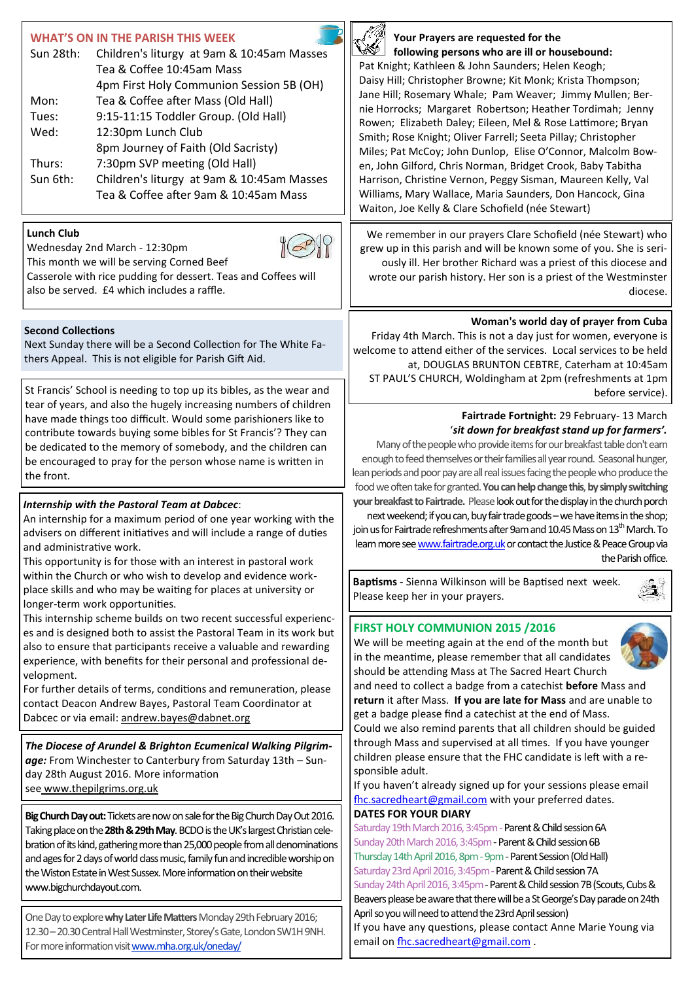| <b>WHAT'S ON IN THE PARISH THIS WEEK</b><br>Sun 28th:<br>Children's liturgy at 9am & 10:45am Masses<br>Tea & Coffee 10:45am Mass<br>4pm First Holy Communion Session 5B (OH)<br>Tea & Coffee after Mass (Old Hall)<br>Mon:<br>Tues:<br>9:15-11:15 Toddler Group. (Old Hall)<br>Wed:<br>12:30pm Lunch Club<br>8pm Journey of Faith (Old Sacristy)<br>7:30pm SVP meeting (Old Hall)<br>Thurs:<br>Sun 6th:<br>Children's liturgy at 9am & 10:45am Masses<br>Tea & Coffee after 9am & 10:45am Mass | Your Prayers are requested for the<br>following persons who are ill or housebound:<br>Pat Knight; Kathleen & John Saunders; Helen Keogh;<br>Daisy Hill; Christopher Browne; Kit Monk; Krista Thompson;<br>Jane Hill; Rosemary Whale; Pam Weaver; Jimmy Mullen; Ber-<br>nie Horrocks; Margaret Robertson; Heather Tordimah; Jenny<br>Rowen; Elizabeth Daley; Eileen, Mel & Rose Lattimore; Bryan<br>Smith; Rose Knight; Oliver Farrell; Seeta Pillay; Christopher<br>Miles; Pat McCoy; John Dunlop, Elise O'Connor, Malcolm Bow-<br>en, John Gilford, Chris Norman, Bridget Crook, Baby Tabitha<br>Harrison, Christine Vernon, Peggy Sisman, Maureen Kelly, Val<br>Williams, Mary Wallace, Maria Saunders, Don Hancock, Gina<br>Waiton, Joe Kelly & Clare Schofield (née Stewart)                                                                                                                                                                                                                                                                                                                                                                                                                                                                                                                                                                                                               |
|------------------------------------------------------------------------------------------------------------------------------------------------------------------------------------------------------------------------------------------------------------------------------------------------------------------------------------------------------------------------------------------------------------------------------------------------------------------------------------------------|------------------------------------------------------------------------------------------------------------------------------------------------------------------------------------------------------------------------------------------------------------------------------------------------------------------------------------------------------------------------------------------------------------------------------------------------------------------------------------------------------------------------------------------------------------------------------------------------------------------------------------------------------------------------------------------------------------------------------------------------------------------------------------------------------------------------------------------------------------------------------------------------------------------------------------------------------------------------------------------------------------------------------------------------------------------------------------------------------------------------------------------------------------------------------------------------------------------------------------------------------------------------------------------------------------------------------------------------------------------------------------------------|
| <b>Lunch Club</b><br>Wednesday 2nd March - 12:30pm<br>This month we will be serving Corned Beef<br>Casserole with rice pudding for dessert. Teas and Coffees will<br>also be served. £4 which includes a raffle.                                                                                                                                                                                                                                                                               | We remember in our prayers Clare Schofield (née Stewart) who<br>grew up in this parish and will be known some of you. She is seri-<br>ously ill. Her brother Richard was a priest of this diocese and<br>wrote our parish history. Her son is a priest of the Westminster<br>diocese.                                                                                                                                                                                                                                                                                                                                                                                                                                                                                                                                                                                                                                                                                                                                                                                                                                                                                                                                                                                                                                                                                                          |
| <b>Second Collections</b><br>Next Sunday there will be a Second Collection for The White Fa-<br>thers Appeal. This is not eligible for Parish Gift Aid.                                                                                                                                                                                                                                                                                                                                        | Woman's world day of prayer from Cuba<br>Friday 4th March. This is not a day just for women, everyone is<br>welcome to attend either of the services. Local services to be held<br>at, DOUGLAS BRUNTON CEBTRE, Caterham at 10:45am<br>ST PAUL'S CHURCH, Woldingham at 2pm (refreshments at 1pm<br>before service).<br>Fairtrade Fortnight: 29 February- 13 March<br>'sit down for breakfast stand up for farmers'.<br>Many of the people who provide items for our breakfast table don't earn<br>enough to feed themselves or their families all year round. Seasonal hunger,<br>lean periods and poor pay are all real issues facing the people who produce the<br>food we often take for granted. You can help change this, by simply switching<br>your breakfast to Fairtrade. Please look out for the display in the church porch<br>next weekend; if you can, buy fair trade goods - we have items in the shop;<br>join us for Fairtrade refreshments after 9am and 10.45 Mass on 13 <sup>th</sup> March. To<br>learn more see www.fairtrade.org.uk or contact the Justice & Peace Group via<br>the Parish office.                                                                                                                                                                                                                                                                        |
| St Francis' School is needing to top up its bibles, as the wear and<br>tear of years, and also the hugely increasing numbers of children<br>have made things too difficult. Would some parishioners like to<br>contribute towards buying some bibles for St Francis'? They can<br>be dedicated to the memory of somebody, and the children can<br>be encouraged to pray for the person whose name is written in<br>the front.                                                                  |                                                                                                                                                                                                                                                                                                                                                                                                                                                                                                                                                                                                                                                                                                                                                                                                                                                                                                                                                                                                                                                                                                                                                                                                                                                                                                                                                                                                |
| Internship with the Pastoral Team at Dabcec:<br>An internship for a maximum period of one year working with the<br>advisers on different initiatives and will include a range of duties<br>and administrative work.<br>This opportunity is for those with an interest in pastoral work<br>within the Church or who wish to develop and evidence work-<br>place skills and who may be waiting for places at university or<br>longer-term work opportunities.                                    |                                                                                                                                                                                                                                                                                                                                                                                                                                                                                                                                                                                                                                                                                                                                                                                                                                                                                                                                                                                                                                                                                                                                                                                                                                                                                                                                                                                                |
|                                                                                                                                                                                                                                                                                                                                                                                                                                                                                                | Baptisms - Sienna Wilkinson will be Baptised next week.<br>Please keep her in your prayers.                                                                                                                                                                                                                                                                                                                                                                                                                                                                                                                                                                                                                                                                                                                                                                                                                                                                                                                                                                                                                                                                                                                                                                                                                                                                                                    |
| This internship scheme builds on two recent successful experienc-<br>es and is designed both to assist the Pastoral Team in its work but<br>also to ensure that participants receive a valuable and rewarding<br>experience, with benefits for their personal and professional de-<br>velopment.<br>For further details of terms, conditions and remuneration, please<br>contact Deacon Andrew Bayes, Pastoral Team Coordinator at<br>Dabcec or via email: andrew.bayes@dabnet.org             | FIRST HOLY COMMUNION 2015 /2016<br>We will be meeting again at the end of the month but<br>in the meantime, please remember that all candidates<br>should be attending Mass at The Sacred Heart Church<br>and need to collect a badge from a catechist before Mass and<br>return it after Mass. If you are late for Mass and are unable to<br>get a badge please find a catechist at the end of Mass.<br>Could we also remind parents that all children should be guided<br>through Mass and supervised at all times. If you have younger<br>children please ensure that the FHC candidate is left with a re-<br>sponsible adult.<br>If you haven't already signed up for your sessions please email<br>fhc.sacredheart@gmail.com with your preferred dates.<br><b>DATES FOR YOUR DIARY</b><br>Saturday 19th March 2016, 3:45pm - Parent & Child session 6A<br>Sunday 20th March 2016, 3:45pm - Parent & Child session 6B<br>Thursday 14th April 2016, 8pm - 9pm - Parent Session (Old Hall)<br>Saturday 23rd April 2016, 3:45pm - Parent & Child session 7A<br>Sunday 24th April 2016, 3:45pm - Parent & Child session 7B (Scouts, Cubs &<br>Beavers please be aware that there will be a St George's Day parade on 24th<br>April so you will need to attend the 23rd April session)<br>If you have any questions, please contact Anne Marie Young via<br>email on fhc.sacredheart@gmail.com. |
| The Diocese of Arundel & Brighton Ecumenical Walking Pilgrim-<br>age: From Winchester to Canterbury from Saturday 13th - Sun-<br>day 28th August 2016. More information<br>see www.thepilgrims.org.uk                                                                                                                                                                                                                                                                                          |                                                                                                                                                                                                                                                                                                                                                                                                                                                                                                                                                                                                                                                                                                                                                                                                                                                                                                                                                                                                                                                                                                                                                                                                                                                                                                                                                                                                |
| Big Church Day out: Tickets are now on sale for the Big Church Day Out 2016.<br>Taking place on the 28th & 29th May. BCDO is the UK's largest Christian cele-<br>bration of its kind, gathering more than 25,000 people from all denominations<br>and ages for 2 days of world class music, family fun and incredible worship on<br>the Wiston Estate in West Sussex. More information on their website<br>www.bigchurchdayout.com.                                                            |                                                                                                                                                                                                                                                                                                                                                                                                                                                                                                                                                                                                                                                                                                                                                                                                                                                                                                                                                                                                                                                                                                                                                                                                                                                                                                                                                                                                |
| One Day to explore why Later Life Matters Monday 29th February 2016;<br>12.30 - 20.30 Central Hall Westminster, Storey's Gate, London SW1H 9NH.<br>For more information visit www.mha.org.uk/oneday/                                                                                                                                                                                                                                                                                           |                                                                                                                                                                                                                                                                                                                                                                                                                                                                                                                                                                                                                                                                                                                                                                                                                                                                                                                                                                                                                                                                                                                                                                                                                                                                                                                                                                                                |

Ш

 $\sqrt{2}$